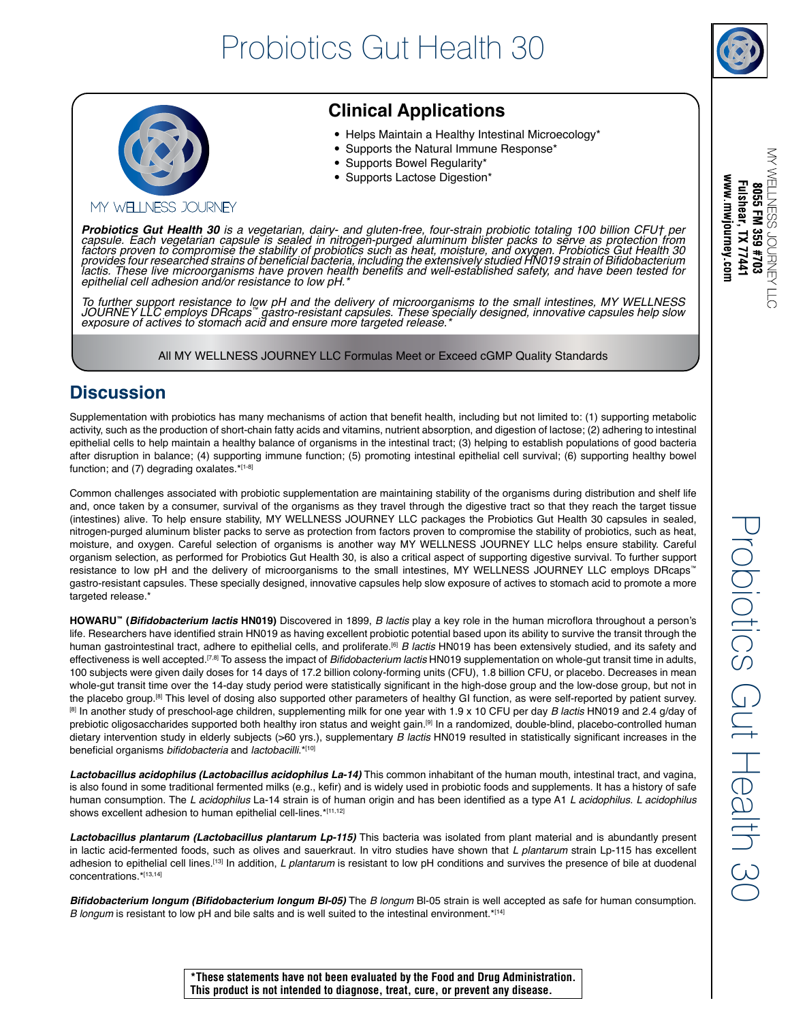

MY WELLNESS JOURNEY

 $\overline{5}$ 

www.mwjourney.con Fulshear, TX 77441 8055 FM 359 #703

# MY WELLNESS JOURNEY

# **Clinical Applications**

- Helps Maintain a Healthy Intestinal Microecology\*
- Supports the Natural Immune Response\*
- Supports Bowel Regularity\*
- Supports Lactose Digestion\*

**Probiotics Gut Health 30** is a vegetarian, dairy- and gluten-free, four-strain probiotic totaling 100 billion CFU† per<br>capsule. Each vegetarian capsule is sealed in nitrogen-purged aluminum blister packs to serve as prote factors proven to compromise the stability of probiotics such as heat, moisture, and oxygen. Probiotics Gut Health 30 provides four researched strains of beneficial bacteria, including the extensively studied HN019 strain of Bifidobacterium lactis. These live microorganisms have proven health benefits and well-established safety, and have been tested for epithelial cell adhesion and/or resistance to low pH.<sup>\*</sup>

To further support resistance to low pH and the delivery of microorganisms to the small intestines, MY WELLNESS<br>JOURNEY LLC employs DRcaps™ gastro-resistant capsules. These specially designed, innovative capsules help slow

All MY WELLNESS JOURNEY LLC Formulas Meet or Exceed cGMP Quality Standards

## **Discussion**

Supplementation with probiotics has many mechanisms of action that benefit health, including but not limited to: (1) supporting metabolic activity, such as the production of short-chain fatty acids and vitamins, nutrient absorption, and digestion of lactose; (2) adhering to intestinal epithelial cells to help maintain a healthy balance of organisms in the intestinal tract; (3) helping to establish populations of good bacteria after disruption in balance; (4) supporting immune function; (5) promoting intestinal epithelial cell survival; (6) supporting healthy bowel function; and (7) degrading oxalates.\*[1-8]

Common challenges associated with probiotic supplementation are maintaining stability of the organisms during distribution and shelf life and, once taken by a consumer, survival of the organisms as they travel through the digestive tract so that they reach the target tissue (intestines) alive. To help ensure stability, MY WELLNESS JOURNEY LLC packages the Probiotics Gut Health 30 capsules in sealed, nitrogen-purged aluminum blister packs to serve as protection from factors proven to compromise the stability of probiotics, such as heat, moisture, and oxygen. Careful selection of organisms is another way MY WELLNESS JOURNEY LLC helps ensure stability. Careful organism selection, as performed for Probiotics Gut Health 30, is also a critical aspect of supporting digestive survival. To further support resistance to low pH and the delivery of microorganisms to the small intestines, MY WELLNESS JOURNEY LLC employs DRcaps™ gastro-resistant capsules. These specially designed, innovative capsules help slow exposure of actives to stomach acid to promote a more targeted release.\*

**HOWARU™ (Bifidobacterium lactis HN019)** Discovered in 1899, *B lactis* play a key role in the human microflora throughout a person's life. Researchers have identified strain HN019 as having excellent probiotic potential based upon its ability to survive the transit through the human gastrointestinal tract, adhere to epithelial cells, and proliferate.<sup>[6]</sup> *B lactis* HN019 has been extensively studied, and its safety and effectiveness is well accepted.<sup>[7,8]</sup> To assess the impact of Bifidobacterium lactis HN019 supplementation on whole-gut transit time in adults, 100 subjects were given daily doses for 14 days of 17.2 billion colony-forming units (CFU), 1.8 billion CFU, or placebo. Decreases in mean whole-gut transit time over the 14-day study period were statistically significant in the high-dose group and the low-dose group, but not in the placebo group.<sup>[8]</sup> This level of dosing also supported other parameters of healthy GI function, as were self-reported by patient survey. [8] In another study of preschool-age children, supplementing milk for one year with 1.9 x 10 CFU per day *B lactis* HN019 and 2.4 g/day of prebiotic oligosaccharides supported both healthy iron status and weight gain.<sup>[9]</sup> In a randomized, double-blind, placebo-controlled human dietary intervention study in elderly subjects (>60 yrs.), supplementary *B lactis* HN019 resulted in statistically significant increases in the beneficial organisms bifidobacteria and lactobacilli.\*[10]

**Lactobacillus acidophilus (Lactobacillus acidophilus La-14)** This common inhabitant of the human mouth, intestinal tract, and vagina, is also found in some traditional fermented milks (e.g., kefir) and is widely used in probiotic foods and supplements. It has a history of safe human consumption. The L acidophilus La-14 strain is of human origin and has been identified as a type A1 L acidophilus. L acidophilus shows excellent adhesion to human epithelial cell-lines.\*[11,12]

**Lactobacillus plantarum (Lactobacillus plantarum Lp-115)** This bacteria was isolated from plant material and is abundantly present in lactic acid-fermented foods, such as olives and sauerkraut. In vitro studies have shown that L plantarum strain Lp-115 has excellent adhesion to epithelial cell lines.<sup>[13]</sup> In addition, *L plantarum* is resistant to low pH conditions and survives the presence of bile at duodenal concentrations.\*[13,14]

**Bifidobacterium longum (Bifidobacterium longum Bl-05)** The B longum Bl-05 strain is well accepted as safe for human consumption. B longum is resistant to low pH and bile salts and is well suited to the intestinal environment.\* $[14]$ 

**\*These statements have not been evaluated by the Food and Drug Administration. This product is not intended to diagnose, treat, cure, or prevent any disease.**